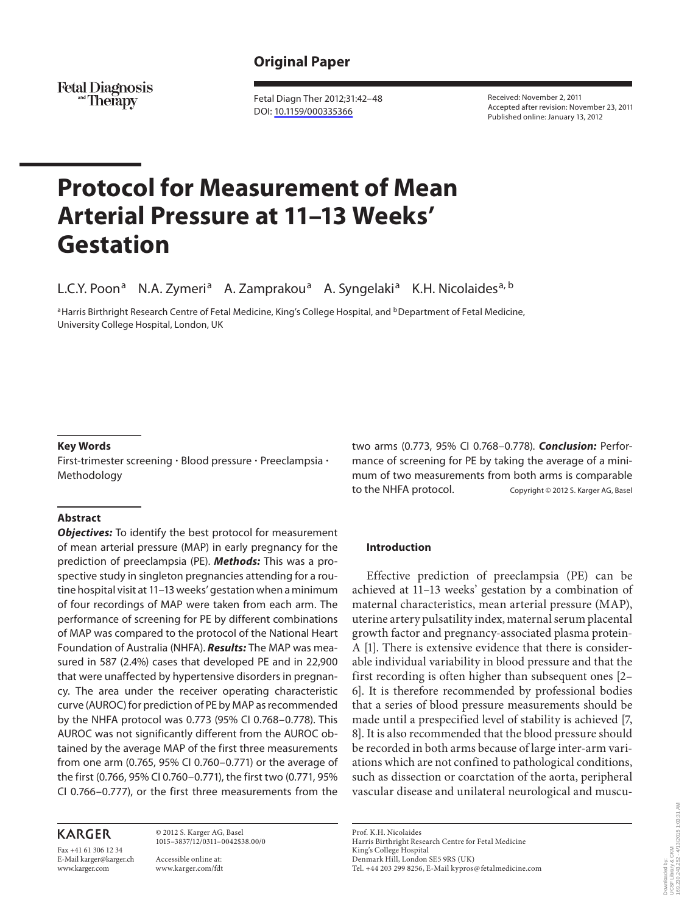# **Original Paper**

**Fetal Diagnosis** and **Therapy** 

 Fetal Diagn Ther 2012;31:42–48 DOI: [10.1159/000335366](http://dx.doi.org/10.1159%2F000335366)

 Received: November 2, 2011 Accepted after revision: November 23, 2011 Published online: January 13, 2012

# **Protocol for Measurement of Mean Arterial Pressure at 11–13 Weeks' Gestation**

L.C.Y. Poon<sup>a</sup> N.A. Zymeri<sup>a</sup> A. Zamprakou<sup>a</sup> A. Syngelaki<sup>a</sup> K.H. Nicolaides<sup>a, b</sup>

<sup>a</sup> Harris Birthright Research Centre of Fetal Medicine, King's College Hospital, and <sup>b</sup> Department of Fetal Medicine, University College Hospital, London, UK

## **Key Words**

First-trimester screening · Blood pressure · Preeclampsia · Methodology

#### **Abstract**

*Objectives:* To identify the best protocol for measurement of mean arterial pressure (MAP) in early pregnancy for the prediction of preeclampsia (PE). *Methods:* This was a prospective study in singleton pregnancies attending for a routine hospital visit at 11–13 weeks' gestation when a minimum of four recordings of MAP were taken from each arm. The performance of screening for PE by different combinations of MAP was compared to the protocol of the National Heart Foundation of Australia (NHFA). *Results:* The MAP was measured in 587 (2.4%) cases that developed PE and in 22,900 that were unaffected by hypertensive disorders in pregnancy. The area under the receiver operating characteristic curve (AUROC) for prediction of PE by MAP as recommended by the NHFA protocol was 0.773 (95% CI 0.768–0.778). This AUROC was not significantly different from the AUROC obtained by the average MAP of the first three measurements from one arm (0.765, 95% CI 0.760–0.771) or the average of the first (0.766, 95% CI 0.760–0.771), the first two (0.771, 95% CI 0.766–0.777), or the first three measurements from the

# **KARGER**

Fax +41 61 306 12 34 E-Mail karger@karger.ch www.karger.com

 © 2012 S. Karger AG, Basel 1015–3837/12/0311–0042\$38.00/0

 Accessible online at: www.karger.com/fdt two arms (0.773, 95% CI 0.768–0.778). *Conclusion:* Performance of screening for PE by taking the average of a minimum of two measurements from both arms is comparable to the NHFA protocol. Copyright © 2012 S. Karger AG, Basel

## **Introduction**

 Effective prediction of preeclampsia (PE) can be achieved at 11–13 weeks' gestation by a combination of maternal characteristics, mean arterial pressure (MAP), uterine artery pulsatility index, maternal serum placental growth factor and pregnancy-associated plasma protein-A [1]. There is extensive evidence that there is considerable individual variability in blood pressure and that the first recording is often higher than subsequent ones [2– 6]. It is therefore recommended by professional bodies that a series of blood pressure measurements should be made until a prespecified level of stability is achieved [7, 8]. It is also recommended that the blood pressure should be recorded in both arms because of large inter-arm variations which are not confined to pathological conditions, such as dissection or coarctation of the aorta, peripheral vascular disease and unilateral neurological and muscu-

 Prof. K.H. Nicolaides Harris Birthright Research Centre for Fetal Medicine King's College Hospital Denmark Hill, London SE5 9RS (UK) Tel. +44 203 299 8256, E-Mail kypros @ fetalmedicine.com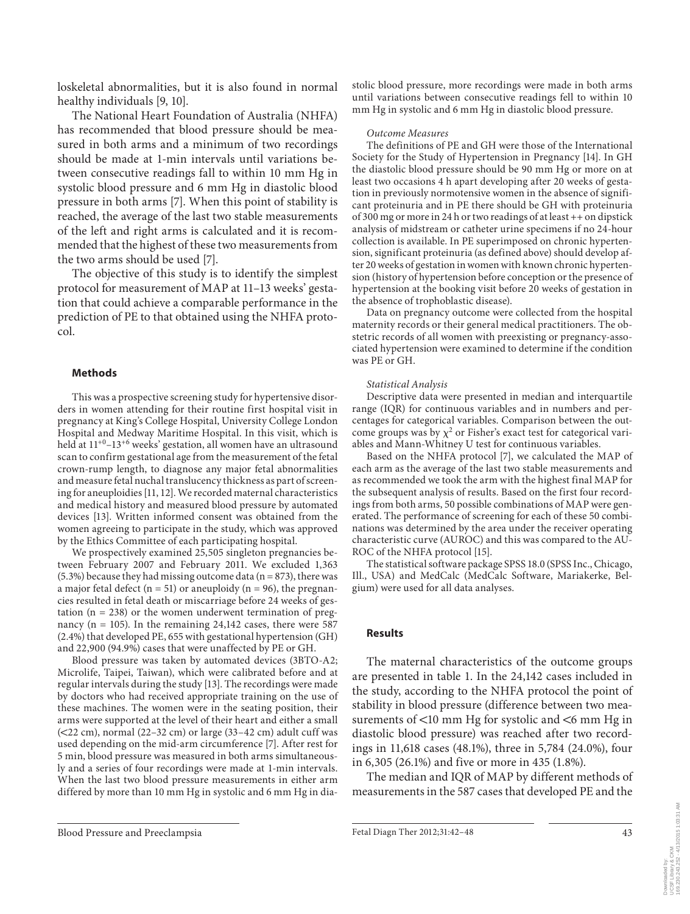loskeletal abnormalities, but it is also found in normal healthy individuals [9, 10].

 The National Heart Foundation of Australia (NHFA) has recommended that blood pressure should be measured in both arms and a minimum of two recordings should be made at 1-min intervals until variations between consecutive readings fall to within 10 mm Hg in systolic blood pressure and 6 mm Hg in diastolic blood pressure in both arms [7]. When this point of stability is reached, the average of the last two stable measurements of the left and right arms is calculated and it is recommended that the highest of these two measurements from the two arms should be used [7].

 The objective of this study is to identify the simplest protocol for measurement of MAP at 11–13 weeks' gestation that could achieve a comparable performance in the prediction of PE to that obtained using the NHFA protocol.

#### **Methods**

 This was a prospective screening study for hypertensive disorders in women attending for their routine first hospital visit in pregnancy at King's College Hospital, University College London Hospital and Medway Maritime Hospital. In this visit, which is held at  $11^{+0}$ -13<sup>+6</sup> weeks' gestation, all women have an ultrasound scan to confirm gestational age from the measurement of the fetal crown-rump length, to diagnose any major fetal abnormalities and measure fetal nuchal translucency thickness as part of screening for aneuploidies [11, 12] . We recorded maternal characteristics and medical history and measured blood pressure by automated devices [13]. Written informed consent was obtained from the women agreeing to participate in the study, which was approved by the Ethics Committee of each participating hospital.

 We prospectively examined 25,505 singleton pregnancies between February 2007 and February 2011. We excluded 1,363 (5.3%) because they had missing outcome data ( $n = 873$ ), there was a major fetal defect ( $n = 51$ ) or aneuploidy ( $n = 96$ ), the pregnancies resulted in fetal death or miscarriage before 24 weeks of gestation  $(n = 238)$  or the women underwent termination of pregnancy ( $n = 105$ ). In the remaining 24,142 cases, there were 587 (2.4%) that developed PE, 655 with gestational hypertension (GH) and 22,900 (94.9%) cases that were unaffected by PE or GH.

 Blood pressure was taken by automated devices (3BTO-A2; Microlife, Taipei, Taiwan), which were calibrated before and at regular intervals during the study [13] . The recordings were made by doctors who had received appropriate training on the use of these machines. The women were in the seating position, their arms were supported at the level of their heart and either a small  $(<$ 22 cm), normal (22–32 cm) or large (33–42 cm) adult cuff was used depending on the mid-arm circumference [7] . After rest for 5 min, blood pressure was measured in both arms simultaneously and a series of four recordings were made at 1-min intervals. When the last two blood pressure measurements in either arm differed by more than 10 mm Hg in systolic and 6 mm Hg in diastolic blood pressure, more recordings were made in both arms until variations between consecutive readings fell to within 10 mm Hg in systolic and 6 mm Hg in diastolic blood pressure.

#### *Outcome Measures*

 The definitions of PE and GH were those of the International Society for the Study of Hypertension in Pregnancy [14]. In GH the diastolic blood pressure should be 90 mm Hg or more on at least two occasions 4 h apart developing after 20 weeks of gestation in previously normotensive women in the absence of significant proteinuria and in PE there should be GH with proteinuria of 300 mg or more in 24 h or two readings of at least ++ on dipstick analysis of midstream or catheter urine specimens if no 24-hour collection is available. In PE superimposed on chronic hypertension, significant proteinuria (as defined above) should develop after 20 weeks of gestation in women with known chronic hypertension (history of hypertension before conception or the presence of hypertension at the booking visit before 20 weeks of gestation in the absence of trophoblastic disease).

 Data on pregnancy outcome were collected from the hospital maternity records or their general medical practitioners. The obstetric records of all women with preexisting or pregnancy-associated hypertension were examined to determine if the condition was PE or GH.

#### *Statistical Analysis*

 Descriptive data were presented in median and interquartile range (IQR) for continuous variables and in numbers and percentages for categorical variables. Comparison between the outcome groups was by  $\chi^2$  or Fisher's exact test for categorical variables and Mann-Whitney U test for continuous variables.

Based on the NHFA protocol [7], we calculated the MAP of each arm as the average of the last two stable measurements and as recommended we took the arm with the highest final MAP for the subsequent analysis of results. Based on the first four recordings from both arms, 50 possible combinations of MAP were generated. The performance of screening for each of these 50 combinations was determined by the area under the receiver operating characteristic curve (AUROC) and this was compared to the AU-ROC of the NHFA protocol [15].

 The statistical software package SPSS 18.0 (SPSS Inc., Chicago, Ill., USA) and MedCalc (MedCalc Software, Mariakerke, Belgium) were used for all data analyses.

## **Results**

 The maternal characteristics of the outcome groups are presented in table 1. In the 24,142 cases included in the study, according to the NHFA protocol the point of stability in blood pressure (difference between two measurements of  $<$ 10 mm Hg for systolic and  $<$ 6 mm Hg in diastolic blood pressure) was reached after two recordings in 11,618 cases (48.1%), three in 5,784 (24.0%), four in 6,305 (26.1%) and five or more in 435 (1.8%).

 The median and IQR of MAP by different methods of measurements in the 587 cases that developed PE and the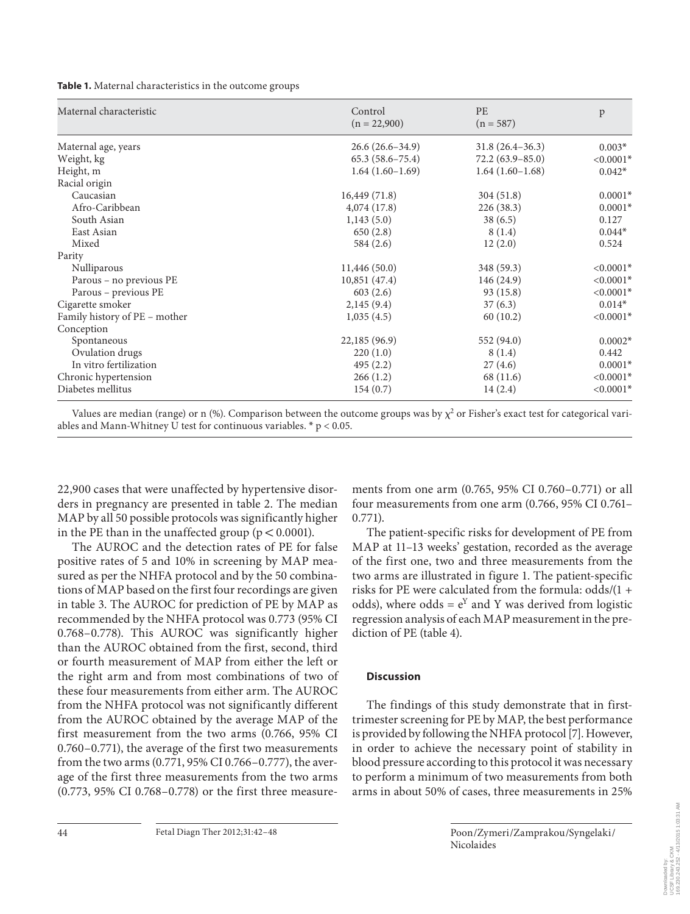**Table 1.** Maternal characteristics in the outcome groups

| Maternal characteristic       | Control<br>$(n = 22,900)$ | <b>PE</b><br>$(n = 587)$ | $\mathbf{p}$ |
|-------------------------------|---------------------------|--------------------------|--------------|
| Maternal age, years           | $26.6(26.6 - 34.9)$       | $31.8(26.4 - 36.3)$      | $0.003*$     |
| Weight, kg                    | $65.3(58.6 - 75.4)$       | $72.2(63.9 - 85.0)$      | $< 0.0001*$  |
| Height, m                     | $1.64(1.60-1.69)$         | $1.64(1.60-1.68)$        | $0.042*$     |
| Racial origin                 |                           |                          |              |
| Caucasian                     | 16,449(71.8)              | 304(51.8)                | $0.0001*$    |
| Afro-Caribbean                | 4,074(17.8)               | 226(38.3)                | $0.0001*$    |
| South Asian                   | 1,143(5.0)                | 38(6.5)                  | 0.127        |
| East Asian                    | 650(2.8)                  | 8(1.4)                   | $0.044*$     |
| Mixed                         | 584 (2.6)                 | 12(2.0)                  | 0.524        |
| Parity                        |                           |                          |              |
| Nulliparous                   | 11,446(50.0)              | 348 (59.3)               | $< 0.0001*$  |
| Parous – no previous PE       | 10,851(47.4)              | 146 (24.9)               | $< 0.0001*$  |
| Parous - previous PE          | 603(2.6)                  | 93(15.8)                 | $< 0.0001*$  |
| Cigarette smoker              | 2,145(9.4)                | 37(6.3)                  | $0.014*$     |
| Family history of PE - mother | 1,035(4.5)                | 60(10.2)                 | $< 0.0001*$  |
| Conception                    |                           |                          |              |
| Spontaneous                   | 22,185 (96.9)             | 552 (94.0)               | $0.0002*$    |
| Ovulation drugs               | 220(1.0)                  | 8(1.4)                   | 0.442        |
| In vitro fertilization        | 495(2.2)                  | 27(4.6)                  | $0.0001*$    |
| Chronic hypertension          | 266(1.2)                  | 68 (11.6)                | $< 0.0001*$  |
| Diabetes mellitus             | 154(0.7)                  | 14(2.4)                  | $< 0.0001*$  |

Values are median (range) or n (%). Comparison between the outcome groups was by  $\chi^2$  or Fisher's exact test for categorical variables and Mann-Whitney U test for continuous variables.  $* p < 0.05$ .

22,900 cases that were unaffected by hypertensive disorders in pregnancy are presented in table 2. The median MAP by all 50 possible protocols was significantly higher in the PE than in the unaffected group ( $p < 0.0001$ ).

 The AUROC and the detection rates of PE for false positive rates of 5 and 10% in screening by MAP measured as per the NHFA protocol and by the 50 combinations of MAP based on the first four recordings are given in table 3. The AUROC for prediction of PE by MAP as recommended by the NHFA protocol was 0.773 (95% CI 0.768–0.778). This AUROC was significantly higher than the AUROC obtained from the first, second, third or fourth measurement of MAP from either the left or the right arm and from most combinations of two of these four measurements from either arm. The AUROC from the NHFA protocol was not significantly different from the AUROC obtained by the average MAP of the first measurement from the two arms (0.766, 95% CI 0.760–0.771), the average of the first two measurements from the two arms (0.771, 95% CI 0.766–0.777), the average of the first three measurements from the two arms (0.773, 95% CI 0.768–0.778) or the first three measurements from one arm (0.765, 95% CI 0.760–0.771) or all four measurements from one arm (0.766, 95% CI 0.761– 0.771).

 The patient-specific risks for development of PE from MAP at 11–13 weeks' gestation, recorded as the average of the first one, two and three measurements from the two arms are illustrated in figure 1. The patient-specific risks for PE were calculated from the formula: odds/(1 + odds), where odds =  $e<sup>Y</sup>$  and Y was derived from logistic regression analysis of each MAP measurement in the prediction of PE (table 4).

# **Discussion**

 The findings of this study demonstrate that in firsttrimester screening for PE by MAP, the best performance is provided by following the NHFA protocol [7]. However, in order to achieve the necessary point of stability in blood pressure according to this protocol it was necessary to perform a minimum of two measurements from both arms in about 50% of cases, three measurements in 25%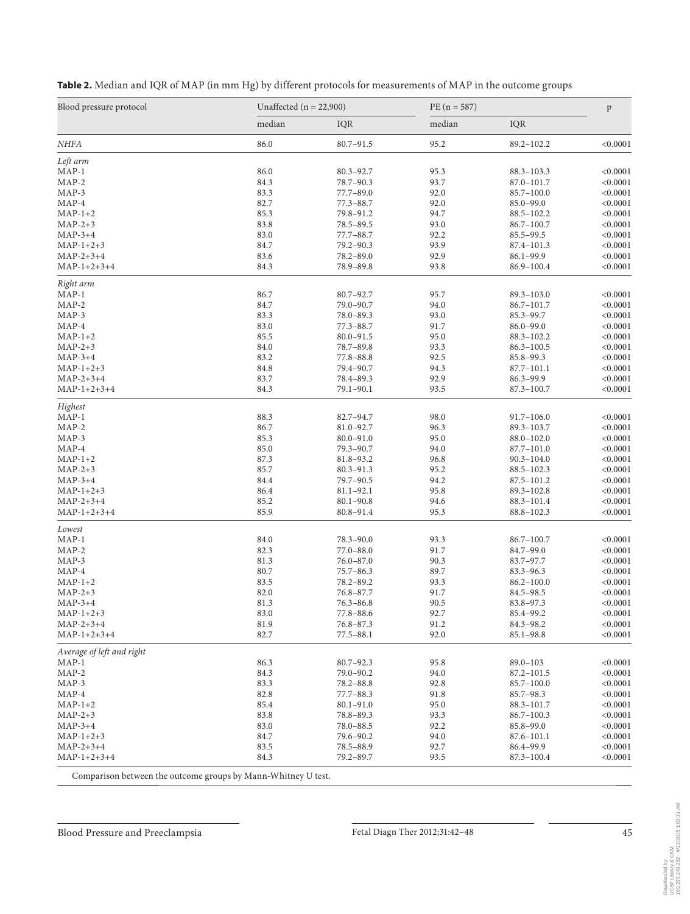| Blood pressure protocol   |        | Unaffected $(n = 22,900)$ |        | $PE(n = 587)$  |          |
|---------------------------|--------|---------------------------|--------|----------------|----------|
|                           | median | IQR                       | median | IQR            |          |
| NHFA                      | 86.0   | $80.7 - 91.5$             | 95.2   | $89.2 - 102.2$ | < 0.0001 |
| Left arm                  |        |                           |        |                |          |
| $MAP-1$                   | 86.0   | $80.3 - 92.7$             | 95.3   | $88.3 - 103.3$ | < 0.0001 |
| $MAP-2$                   | 84.3   | 78.7-90.3                 | 93.7   | 87.0-101.7     | < 0.0001 |
| MAP-3                     | 83.3   | $77.7 - 89.0$             | 92.0   | $85.7 - 100.0$ | < 0.0001 |
| $MAP-4$                   | 82.7   | $77.3 - 88.7$             | 92.0   | $85.0 - 99.0$  | < 0.0001 |
| $MAP-1+2$                 | 85.3   | 79.8-91.2                 | 94.7   | $88.5 - 102.2$ | < 0.0001 |
| $MAP-2+3$                 | 83.8   | $78.5 - 89.5$             | 93.0   | $86.7 - 100.7$ | < 0.0001 |
| $MAP-3+4$                 | 83.0   | 77.7-88.7                 | 92.2   | $85.5 - 99.5$  | < 0.0001 |
| $MAP-1+2+3$               | 84.7   | $79.2 - 90.3$             | 93.9   | 87.4-101.3     | < 0.0001 |
| $MAP-2+3+4$               | 83.6   | $78.2 - 89.0$             | 92.9   | $86.1 - 99.9$  | < 0.0001 |
| $MAP-1+2+3+4$             | 84.3   | 78.9-89.8                 | 93.8   | 86.9-100.4     | < 0.0001 |
| Right arm                 |        |                           |        |                |          |
| $MAP-1$                   | 86.7   | $80.7 - 92.7$             | 95.7   | $89.3 - 103.0$ | < 0.0001 |
| $MAP-2$                   | 84.7   | 79.0-90.7                 | 94.0   | $86.7 - 101.7$ | < 0.0001 |
| MAP-3                     | 83.3   | 78.0-89.3                 | 93.0   | $85.3 - 99.7$  | < 0.0001 |
|                           |        | $77.3 - 88.7$             | 91.7   |                |          |
| MAP-4                     | 83.0   |                           |        | $86.0 - 99.0$  | < 0.0001 |
| $MAP-1+2$                 | 85.5   | $80.0 - 91.5$             | 95.0   | $88.3 - 102.2$ | < 0.0001 |
| $MAP-2+3$                 | 84.0   | $78.7 - 89.8$             | 93.3   | $86.3 - 100.5$ | < 0.0001 |
| $MAP-3+4$                 | 83.2   | $77.8 - 88.8$             | 92.5   | $85.8 - 99.3$  | < 0.0001 |
| $MAP-1+2+3$               | 84.8   | 79.4-90.7                 | 94.3   | 87.7-101.1     | < 0.0001 |
| $MAP-2+3+4$               | 83.7   | 78.4-89.3                 | 92.9   | $86.3 - 99.9$  | < 0.0001 |
| $MAP-1+2+3+4$             | 84.3   | $79.1 - 90.1$             | 93.5   | $87.3 - 100.7$ | < 0.0001 |
| Highest                   |        |                           |        |                |          |
| $MAP-1$                   | 88.3   | $82.7 - 94.7$             | 98.0   | 91.7-106.0     | < 0.0001 |
| $MAP-2$                   | 86.7   | $81.0 - 92.7$             | 96.3   | $89.3 - 103.7$ | < 0.0001 |
| MAP-3                     | 85.3   | $80.0 - 91.0$             | 95.0   | $88.0 - 102.0$ | < 0.0001 |
| $MAP-4$                   | 85.0   | $79.3 - 90.7$             | 94.0   | $87.7 - 101.0$ | < 0.0001 |
| $MAP-1+2$                 | 87.3   | 81.8-93.2                 | 96.8   | $90.3 - 104.0$ | < 0.0001 |
| $MAP-2+3$                 | 85.7   | $80.3 - 91.3$             | 95.2   | $88.5 - 102.3$ | < 0.0001 |
| $MAP-3+4$                 | 84.4   | $79.7 - 90.5$             | 94.2   | 87.5-101.2     | < 0.0001 |
| $MAP-1+2+3$               | 86.4   | $81.1 - 92.1$             | 95.8   | $89.3 - 102.8$ | < 0.0001 |
| $MAP-2+3+4$               | 85.2   | $80.1 - 90.8$             | 94.6   | $88.3 - 101.4$ | < 0.0001 |
| $MAP-1+2+3+4$             | 85.9   | 80.8-91.4                 | 95.3   | $88.8 - 102.3$ | < 0.0001 |
| Lowest                    |        |                           |        |                |          |
| $MAP-1$                   | 84.0   | $78.3 - 90.0$             | 93.3   | $86.7 - 100.7$ | < 0.0001 |
| $MAP-2$                   | 82.3   | $77.0 - 88.0$             | 91.7   | 84.7-99.0      | < 0.0001 |
| $MAP-3$                   | 81.3   | $76.0 - 87.0$             | 90.3   | $83.7 - 97.7$  | < 0.0001 |
| $MAP-4$                   | 80.7   | $75.7 - 86.3$             | 89.7   | $83.3 - 96.3$  | < 0.0001 |
| $MAP-1+2$                 | 83.5   | $78.2 - 89.2$             | 93.3   | $86.2 - 100.0$ | < 0.0001 |
| $MAP-2+3$                 | 82.0   | $76.8 - 87.7$             | 91.7   | $84.5 - 98.5$  | < 0.0001 |
| $MAP-3+4$                 | 81.3   | $76.3 - 86.8$             | 90.5   | 83.8-97.3      | < 0.0001 |
| $MAP-1+2+3$               | 83.0   | $77.8 - 88.6$             | 92.7   | 85.4-99.2      | < 0.0001 |
| $MAP-2+3+4$               | 81.9   | $76.8 - 87.3$             | 91.2   | 84.3-98.2      | < 0.0001 |
| $MAP-1+2+3+4$             | 82.7   | $77.5 - 88.1$             | 92.0   | $85.1 - 98.8$  | < 0.0001 |
| Average of left and right |        |                           |        |                |          |
| $MAP-1$                   | 86.3   | $80.7 - 92.3$             | 95.8   | $89.0 - 103$   | < 0.0001 |
|                           |        |                           |        |                |          |
| $MAP-2$                   | 84.3   | 79.0-90.2                 | 94.0   | $87.2 - 101.5$ | < 0.0001 |
| $MAP-3$                   | 83.3   | $78.2 - 88.8$             | 92.8   | $85.7 - 100.0$ | < 0.0001 |
| MAP-4                     | 82.8   | $77.7 - 88.3$             | 91.8   | $85.7 - 98.3$  | < 0.0001 |
| $MAP-1+2$                 | 85.4   | $80.1 - 91.0$             | 95.0   | $88.3 - 101.7$ | < 0.0001 |
| $MAP-2+3$                 | 83.8   | 78.8-89.3                 | 93.3   | $86.7 - 100.3$ | < 0.0001 |
| $MAP-3+4$                 | 83.0   | $78.0 - 88.5$             | 92.2   | $85.8 - 99.0$  | < 0.0001 |
| $MAP-1+2+3$               | 84.7   | 79.6-90.2                 | 94.0   | $87.6 - 101.1$ | < 0.0001 |
| $MAP-2+3+4$               | 83.5   | $78.5 - 88.9$             | 92.7   | 86.4-99.9      | < 0.0001 |
| MAP-1+2+3+4               | 84.3   | 79.2-89.7                 | 93.5   | $87.3 - 100.4$ | < 0.0001 |
|                           |        |                           |        |                |          |

| Table 2. Median and IQR of MAP (in mm Hg) by different protocols for measurements of MAP in the outcome groups |  |  |  |
|----------------------------------------------------------------------------------------------------------------|--|--|--|
|----------------------------------------------------------------------------------------------------------------|--|--|--|

Comparison between the outcome groups by Mann-Whitney U test.

Downloaded by:<br>UCSF Library & CKM<br>169.230.243.252 - 4/13/2015 1:03:31 AM 169.230.243.252 - 4/13/2015 1:03:31 AMUCSF Library & CKM Downloaded by: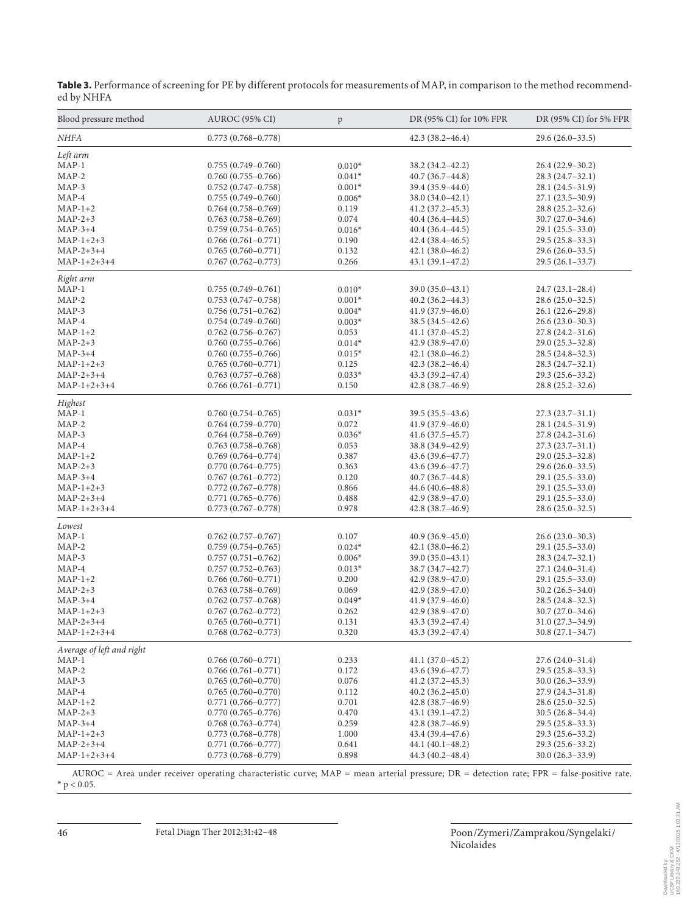| Blood pressure method     | AUROC (95% CI)            | p        | DR (95% CI) for 10% FPR | DR (95% CI) for 5% FPR |
|---------------------------|---------------------------|----------|-------------------------|------------------------|
| NHFA                      | $0.773(0.768 - 0.778)$    |          | $42.3(38.2 - 46.4)$     | $29.6(26.0-33.5)$      |
| Left arm                  |                           |          |                         |                        |
| $MAP-1$                   | $0.755(0.749 - 0.760)$    | $0.010*$ | $38.2(34.2 - 42.2)$     | $26.4(22.9-30.2)$      |
| $MAP-2$                   | $0.760(0.755 - 0.766)$    | $0.041*$ | $40.7(36.7-44.8)$       | $28.3(24.7-32.1)$      |
| MAP-3                     | $0.752(0.747 - 0.758)$    | $0.001*$ | $39.4(35.9 - 44.0)$     | $28.1(24.5-31.9)$      |
| MAP-4                     | $0.755(0.749 - 0.760)$    | $0.006*$ | $38.0(34.0-42.1)$       | $27.1(23.5-30.9)$      |
| $MAP-1+2$                 | $0.764(0.758 - 0.769)$    | 0.119    | $41.2(37.2 - 45.3)$     | $28.8(25.2 - 32.6)$    |
| $MAP-2+3$                 | $0.763(0.758 - 0.769)$    | 0.074    | $40.4(36.4-44.5)$       | $30.7(27.0-34.6)$      |
| $MAP-3+4$                 | $0.759(0.754 - 0.765)$    | $0.016*$ | $40.4(36.4-44.5)$       | $29.1(25.5-33.0)$      |
|                           |                           |          |                         |                        |
| $MAP-1+2+3$               | $0.766(0.761 - 0.771)$    | 0.190    | $42.4(38.4 - 46.5)$     | $29.5(25.8-33.3)$      |
| $MAP-2+3+4$               | $0.765(0.760 - 0.771)$    | 0.132    | $42.1(38.0-46.2)$       | $29.6(26.0-33.5)$      |
| $MAP-1+2+3+4$             | $0.767(0.762 - 0.773)$    | 0.266    | $43.1(39.1-47.2)$       | $29.5(26.1-33.7)$      |
| Right arm                 |                           |          |                         |                        |
| $MAP-1$                   | $0.755(0.749 - 0.761)$    | $0.010*$ | $39.0(35.0-43.1)$       | $24.7(23.1 - 28.4)$    |
| $MAP-2$                   | $0.753(0.747 - 0.758)$    | $0.001*$ | $40.2 (36.2 - 44.3)$    | $28.6(25.0-32.5)$      |
| MAP-3                     | $0.756(0.751 - 0.762)$    | $0.004*$ | $41.9(37.9-46.0)$       | $26.1(22.6-29.8)$      |
| $MAP-4$                   | $0.754(0.749 - 0.760)$    | $0.003*$ | $38.5(34.5 - 42.6)$     | $26.6(23.0-30.3)$      |
| $MAP-1+2$                 | $0.762(0.756 - 0.767)$    | 0.053    | $41.1(37.0-45.2)$       | $27.8(24.2 - 31.6)$    |
| $MAP-2+3$                 | $0.760(0.755 - 0.766)$    | $0.014*$ | $42.9(38.9 - 47.0)$     | $29.0(25.3 - 32.8)$    |
| $MAP-3+4$                 | $0.760(0.755 - 0.766)$    | $0.015*$ | $42.1(38.0-46.2)$       | $28.5(24.8-32.3)$      |
| $MAP-1+2+3$               | $0.765(0.760 - 0.771)$    | 0.125    | $42.3(38.2 - 46.4)$     | $28.3(24.7-32.1)$      |
| $MAP-2+3+4$               | $0.763(0.757-0.768)$      | $0.033*$ | $43.3(39.2 - 47.4)$     | $29.3(25.6 - 33.2)$    |
| $MAP-1+2+3+4$             | $0.766(0.761 - 0.771)$    | 0.150    | $42.8(38.7-46.9)$       | $28.8(25.2 - 32.6)$    |
|                           |                           |          |                         |                        |
| Highest<br>$MAP-1$        | $0.760(0.754 - 0.765)$    | $0.031*$ | $39.5(35.5-43.6)$       | $27.3(23.7-31.1)$      |
| $MAP-2$                   | $0.764(0.759 - 0.770)$    | 0.072    | $41.9(37.9 - 46.0)$     | $28.1(24.5-31.9)$      |
|                           |                           |          |                         |                        |
| $MAP-3$                   | $0.764(0.758 - 0.769)$    | $0.036*$ | $41.6(37.5-45.7)$       | $27.8(24.2 - 31.6)$    |
| MAP-4                     | $0.763(0.758 - 0.768)$    | 0.053    | 38.8 (34.9–42.9)        | $27.3(23.7-31.1)$      |
| $MAP-1+2$                 | $0.769(0.764 - 0.774)$    | 0.387    | $43.6(39.6 - 47.7)$     | $29.0(25.3 - 32.8)$    |
| $MAP-2+3$                 | $0.770(0.764 - 0.775)$    | 0.363    | $43.6(39.6 - 47.7)$     | $29.6(26.0-33.5)$      |
| $MAP-3+4$                 | $0.767(0.761 - 0.772)$    | 0.120    | $40.7(36.7-44.8)$       | $29.1(25.5-33.0)$      |
| $MAP-1+2+3$               | $0.772(0.767 - 0.778)$    | 0.866    | $44.6(40.6 - 48.8)$     | $29.1(25.5-33.0)$      |
| $MAP-2+3+4$               | $0.771(0.765 - 0.776)$    | 0.488    | $42.9(38.9 - 47.0)$     | $29.1(25.5-33.0)$      |
| $MAP-1+2+3+4$             | $0.773(0.767 - 0.778)$    | 0.978    | $42.8(38.7-46.9)$       | $28.6(25.0-32.5)$      |
| Lowest                    |                           |          |                         |                        |
| $MAP-1$                   | $0.762(0.757-0.767)$      | 0.107    | $40.9(36.9-45.0)$       | $26.6(23.0-30.3)$      |
| $MAP-2$                   | $0.759(0.754 - 0.765)$    | $0.024*$ | $42.1(38.0-46.2)$       | $29.1(25.5-33.0)$      |
| $MAP-3$                   | $0.757(0.751 - 0.762)$    | $0.006*$ | $39.0(35.0-43.1)$       | $28.3(24.7-32.1)$      |
| $MAP-4$                   | $0.757(0.752 - 0.763)$    | $0.013*$ | 38.7 (34.7–42.7)        | $27.1(24.0-31.4)$      |
| $MAP-1+2$                 | $0.766(0.760 - 0.771)$    | 0.200    | $42.9(38.9 - 47.0)$     | $29.1(25.5-33.0)$      |
| $MAP-2+3$                 | $0.763(0.758 - 0.769)$    | 0.069    | $42.9(38.9 - 47.0)$     | $30.2(26.5-34.0)$      |
| $MAP-3+4$                 | $0.762(0.757-0.768)$      | $0.049*$ | $41.9(37.9 - 46.0)$     | $28.5(24.8-32.3)$      |
| $MAP-1+2+3$               | $0.767(0.762 - 0.772)$    | 0.262    | 42.9 (38.9-47.0)        | $30.7(27.0-34.6)$      |
| $MAP-2+3+4$               | $0.765(0.760 - 0.771)$    | 0.131    | $43.3(39.2 - 47.4)$     | $31.0(27.3 - 34.9)$    |
| $MAP-1+2+3+4$             | $0.768(0.762 - 0.773)$    | 0.320    | $43.3(39.2 - 47.4)$     | $30.8(27.1 - 34.7)$    |
| Average of left and right |                           |          |                         |                        |
| MAP-1                     | $0.766(0.760 - 0.771)$    | 0.233    | $41.1(37.0-45.2)$       | $27.6(24.0-31.4)$      |
| $MAP-2$                   | $0.766(0.761 - 0.771)$    | 0.172    | $43.6(39.6 - 47.7)$     | $29.5(25.8-33.3)$      |
| MAP-3                     | $0.765(0.760 - 0.770)$    | 0.076    | $41.2(37.2 - 45.3)$     | $30.0(26.3-33.9)$      |
| MAP-4                     | $0.765(0.760 - 0.770)$    | 0.112    | $40.2(36.2 - 45.0)$     | $27.9(24.3-31.8)$      |
|                           | $0.771(0.766 - 0.777)$    | 0.701    |                         |                        |
| $MAP-1+2$                 |                           |          | $42.8(38.7-46.9)$       | $28.6(25.0-32.5)$      |
| $MAP-2+3$                 | $0.770(0.765 - 0.776)$    | 0.470    | $43.1(39.1-47.2)$       | $30.5(26.8-34.4)$      |
| $MAP-3+4$                 | $0.768$ $(0.763 - 0.774)$ | 0.259    | $42.8(38.7-46.9)$       | $29.5(25.8-33.3)$      |
| $MAP-1+2+3$               | $0.773(0.768 - 0.778)$    | 1.000    | $43.4(39.4 - 47.6)$     | $29.3(25.6 - 33.2)$    |
| $MAP-2+3+4$               | $0.771(0.766 - 0.777)$    | 0.641    | $44.1(40.1-48.2)$       | $29.3(25.6-33.2)$      |
| $MAP-1+2+3+4$             | $0.773(0.768 - 0.779)$    | 0.898    | $44.3(40.2 - 48.4)$     | $30.0(26.3 - 33.9)$    |

**Table 3.** Performance of screening for PE by different protocols for measurements of MAP, in comparison to the method recommended by NHFA

AUROC = Area under receiver operating characteristic curve;  $MAP = mean$  arterial pressure;  $DR = detection$  rate;  $FPR = false$ -positive rate.  $*$  p < 0.05.

Downloaded by: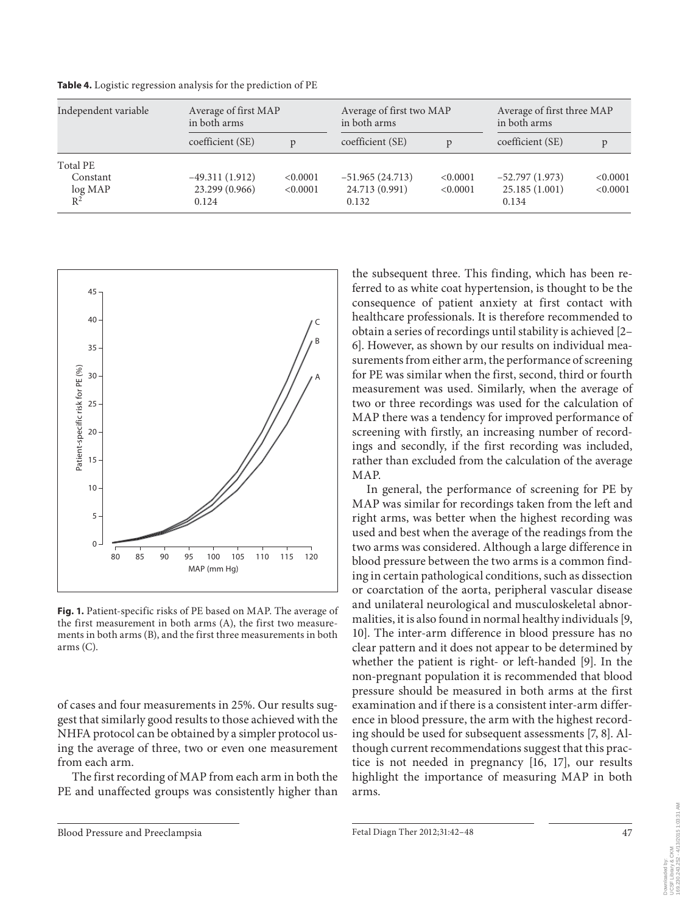| Independent variable | Average of first MAP<br>in both arms |                | Average of first two MAP<br>in both arms |                | Average of first three MAP<br>in both arms |          |
|----------------------|--------------------------------------|----------------|------------------------------------------|----------------|--------------------------------------------|----------|
|                      | coefficient (SE)                     | $\mathfrak{p}$ | coefficient (SE)                         | $\mathfrak{v}$ | coefficient (SE)                           |          |
| Total PE             |                                      |                |                                          |                |                                            |          |
| Constant             | $-49.311(1.912)$                     | < 0.0001       | $-51.965(24.713)$                        | < 0.0001       | $-52.797(1.973)$                           | < 0.0001 |
|                      | 23.299 (0.966)                       | < 0.0001       | 24.713 (0.991)                           | < 0.0001       | 25.185 (1.001)                             | < 0.0001 |
| $\log_{10} MAP$      | 0.124                                |                | 0.132                                    |                | 0.134                                      |          |

**Table 4.** Logistic regression analysis for the prediction of PE



**Fig. 1.** Patient-specific risks of PE based on MAP. The average of the first measurement in both arms (A), the first two measurements in both arms (B), and the first three measurements in both arms (C).

of cases and four measurements in 25%. Our results suggest that similarly good results to those achieved with the NHFA protocol can be obtained by a simpler protocol using the average of three, two or even one measurement from each arm.

 The first recording of MAP from each arm in both the PE and unaffected groups was consistently higher than

Blood Pressure and Preeclampsia  $\qquad \qquad \qquad$  Fetal Diagn Ther 2012;31:42-48  $\qquad \qquad \qquad \qquad$  47

the subsequent three. This finding, which has been referred to as white coat hypertension, is thought to be the consequence of patient anxiety at first contact with healthcare professionals. It is therefore recommended to obtain a series of recordings until stability is achieved [2– 6]. However, as shown by our results on individual measurements from either arm, the performance of screening for PE was similar when the first, second, third or fourth measurement was used. Similarly, when the average of two or three recordings was used for the calculation of MAP there was a tendency for improved performance of screening with firstly, an increasing number of recordings and secondly, if the first recording was included, rather than excluded from the calculation of the average MAP.

 In general, the performance of screening for PE by MAP was similar for recordings taken from the left and right arms, was better when the highest recording was used and best when the average of the readings from the two arms was considered. Although a large difference in blood pressure between the two arms is a common finding in certain pathological conditions, such as dissection or coarctation of the aorta, peripheral vascular disease and unilateral neurological and musculoskeletal abnormalities, it is also found in normal healthy individuals [9, 10]. The inter-arm difference in blood pressure has no clear pattern and it does not appear to be determined by whether the patient is right- or left-handed [9]. In the non-pregnant population it is recommended that blood pressure should be measured in both arms at the first examination and if there is a consistent inter-arm difference in blood pressure, the arm with the highest recording should be used for subsequent assessments [7, 8]. Although current recommendations suggest that this practice is not needed in pregnancy [16, 17], our results highlight the importance of measuring MAP in both arms.